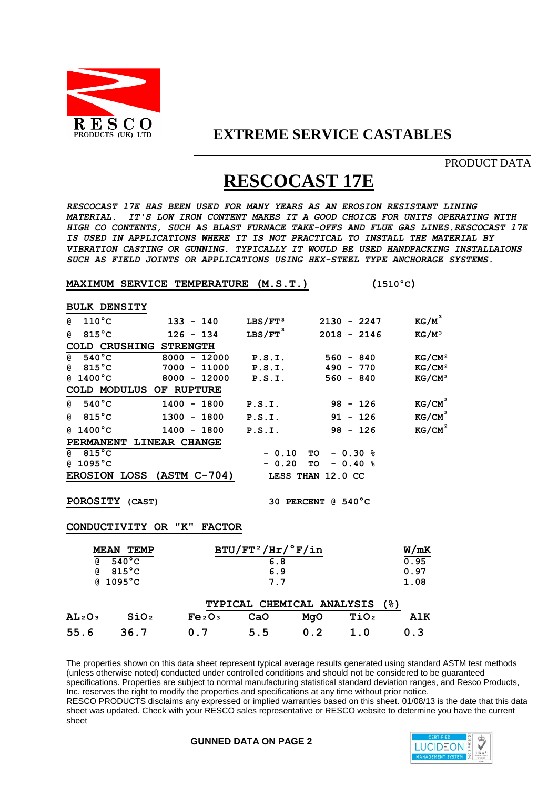

## **EXTREME SERVICE CASTABLES**

PRODUCT DATA

# **RESCOCAST 17E**

*RESCOCAST 17E HAS BEEN USED FOR MANY YEARS AS AN EROSION RESISTANT LINING MATERIAL. IT'S LOW IRON CONTENT MAKES IT A GOOD CHOICE FOR UNITS OPERATING WITH HIGH CO CONTENTS, SUCH AS BLAST FURNACE TAKE-OFFS AND FLUE GAS LINES.RESCOCAST 17E IS USED IN APPLICATIONS WHERE IT IS NOT PRACTICAL TO INSTALL THE MATERIAL BY VIBRATION CASTING OR GUNNING. TYPICALLY IT WOULD BE USED HANDPACKING INSTALLAIONS SUCH AS FIELD JOINTS OR APPLICATIONS USING HEX-STEEL TYPE ANCHORAGE SYSTEMS.*

#### **MAXIMUM SERVICE TEMPERATURE (M.S.T.) (1510°C)**

**BULK DENSITY @ 110°C 133 - 140 LBS/FT³ 2130 - 2247 KG/M³ @ 815°C 126 - 134 LBS/FT³ 2018 - 2146 KG/M³ COLD CRUSHING STRENGTH @ 540°C 8000 - 12000 P.S.I. 560 - 840 KG/CM² @ 815°C 7000 - 11000 P.S.I. 490 - 770 KG/CM² @ 1400°C 8000 - 12000 P.S.I. 560 - 840 KG/CM² COLD MODULUS OF RUPTURE @ 540°C 1400 - 1800 P.S.I. 98 - 126 KG/CM² @ 815°C 1300 - 1800 P.S.I. 91 - 126 KG/CM² @ 1400°C 1400 - 1800 P.S.I. 98 - 126 KG/CM² PERMANENT LINEAR CHANGE @ 815°C - 0.10 TO - 0.30 % @ 1095°C - 0.20 TO - 0.40 % EROSION LOSS (ASTM C-704) LESS THAN 12.0 CC POROSITY (CAST) 30 PERCENT @ 540°C CONDUCTIVITY OR "K" FACTOR MEAN TEMP BTU/FT<sup>2</sup>/Hr/<sup>°</sup>F/in <b>W/mK**<br> **6.8 b**<sub>0.95</sub>  **@ 540°C 6.8 0.95 @ 815°C 6.9 0.97 @ 1095°C 7.7 1.08 TYPICAL CHEMICAL ANALYSIS (%) AL²O³ SiO² Fe²O³ CaO MgO TiO² AlK 55.6 36.7 0.7 5.5 0.2 1.0 0.3** 

The properties shown on this data sheet represent typical average results generated using standard ASTM test methods (unless otherwise noted) conducted under controlled conditions and should not be considered to be guaranteed specifications. Properties are subject to normal manufacturing statistical standard deviation ranges, and Resco Products, Inc. reserves the right to modify the properties and specifications at any time without prior notice. RESCO PRODUCTS disclaims any expressed or implied warranties based on this sheet. 01/08/13 is the date that this data sheet was updated. Check with your RESCO sales representative or RESCO website to determine you have the current sheet

### **GUNNED DATA ON PAGE 2**